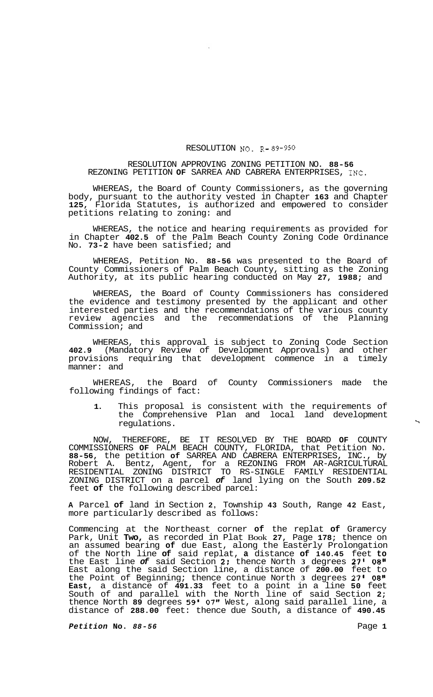## RESOLUTION NO. R- *89-950*

## RESOLUTION APPROVING ZONING PETITION NO. **88-56**  REZONING PETITION **OF** SARREA AND CABRERA ENTERPRISES, INC.

WHEREAS, the Board of County Commissioners, as the governing body, pursuant to the authority vested in Chapter **163** and Chapter **125,** Florida Statutes, is authorized and empowered to consider petitions relating to zoning: and

WHEREAS, the notice and hearing requirements as provided for in Chapter **402.5** of the Palm Beach County Zoning Code Ordinance No. **73-2** have been satisfied; and

WHEREAS, Petition No. **88-56** was presented to the Board of County Commissioners of Palm Beach County, sitting as the Zoning Authority, at its public hearing conducted on May **27, 1988;** and

WHEREAS, the Board of County Commissioners has considered the evidence and testimony presented by the applicant and other interested parties and the recommendations of the various county review agencies and the recommendations of the Planning Commission; and

WHEREAS, this approval is subject to Zoning Code Section **402.9** (Mandatory Review of Development Approvals) and other provisions requiring that development commence in a timely manner: and

WHEREAS, the Board of County Commissioners made the following findings of fact:

**1.** This proposal is consistent with the requirements of the Comprehensive Plan and local land development regulations. \

NOW, THEREFORE, BE IT RESOLVED BY THE BOARD **OF** COUNTY COMMISSIONERS **OF** PALM BEACH COUNTY, FLORIDA, that Petition No. **88-56,** the petition **of** SARREA AND CABRERA ENTERPRISES, INC., by Robert A. Bentz, Agent, for a REZONING FROM AR-AGRICULTURAL ZONING DISTRICT on a parcel *of* land lying on the South **209.52**  feet **of** the following described parcel: RESIDENTIAL ZONING DISTRICT TO RS-SINGLE FAMILY RESIDENTIAL

**A** Parcel **of** land in Section **2,** Township **43** South, Range **42** East, more particularly described as follows:

Commencing at the Northeast corner **of** the replat **of** Gramercy Park, Unit **Two,** as recorded in Plat Book **27,** Page **178;** thence on an assumed bearing **of** due East, along the Easterly Prolongation of the North line **of** said replat, **a** distance **of 140.45** feet **to**  the East line *of* said Section **2:** thence North **3** degrees **27' 08"**  East along the said Section line, a distance of **200.00** feet to the Point of Beginning; thence continue North **3** degrees **27' 08'' East,** a distance of **491.33** feet to a point in a line **50** feet South of and parallel with the North line of said Section **2;**  thence North **89** degrees **59'** *07"* West, along said parallel line, a distance of **288.00** feet: thence due South, a distance of **490.45** 

*Petition* **No.** *88-56* Page **1**